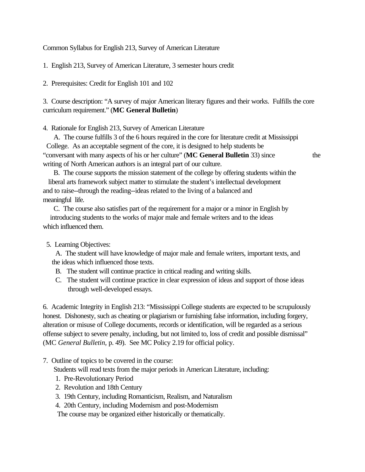Common Syllabus for English 213, Survey of American Literature

1. English 213, Survey of American Literature, 3 semester hours credit

2. Prerequisites: Credit for English 101 and 102

3. Course description: "A survey of major American literary figures and their works. Fulfills the core curriculum requirement." (**MC General Bulletin**)

4. Rationale for English 213, Survey of American Literature

 A. The course fulfills 3 of the 6 hours required in the core for literature credit at Mississippi College. As an acceptable segment of the core, it is designed to help students be "conversant with many aspects of his or her culture" (**MC General Bulletin** 33) since the writing of North American authors is an integral part of our culture.

 B. The course supports the mission statement of the college by offering students within the liberal arts framework subject matter to stimulate the student's intellectual development and to raise--through the reading--ideas related to the living of a balanced and meaningful life.

 C. The course also satisfies part of the requirement for a major or a minor in English by introducing students to the works of major male and female writers and to the ideas which influenced them.

5. Learning Objectives:

 A. The student will have knowledge of major male and female writers, important texts, and the ideas which influenced those texts.

- B. The student will continue practice in critical reading and writing skills.
- C. The student will continue practice in clear expression of ideas and support of those ideas through well-developed essays.

6. Academic Integrity in English 213: "Mississippi College students are expected to be scrupulously honest. Dishonesty, such as cheating or plagiarism or furnishing false information, including forgery, alteration or misuse of College documents, records or identification, will be regarded as a serious offense subject to severe penalty, including, but not limited to, loss of credit and possible dismissal" (MC *General Bulletin,* p. 49). See MC Policy 2.19 for official policy.

7. Outline of topics to be covered in the course:

Students will read texts from the major periods in American Literature, including:

- 1. Pre-Revolutionary Period
- 2. Revolution and 18th Century
- 3. 19th Century, including Romanticism, Realism, and Naturalism
- 4. 20th Century, including Modernism and post-Modernism

The course may be organized either historically or thematically.